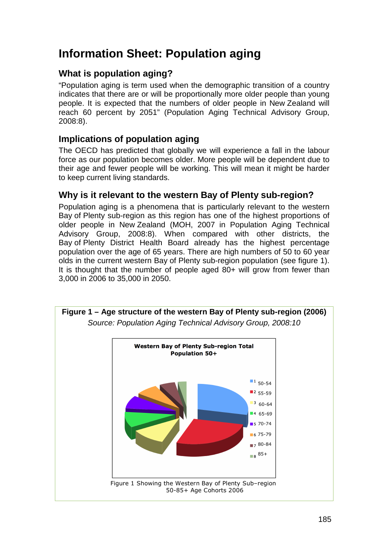# **Information Sheet: Population aging**

## **What is population aging?**

"Population aging is term used when the demographic transition of a country indicates that there are or will be proportionally more older people than young people. It is expected that the numbers of older people in New Zealand will reach 60 percent by 2051" (Population Aging Technical Advisory Group, 2008:8).

### **Implications of population aging**

The OECD has predicted that globally we will experience a fall in the labour force as our population becomes older. More people will be dependent due to their age and fewer people will be working. This will mean it might be harder to keep current living standards.

### **Why is it relevant to the western Bay of Plenty sub-region?**

Population aging is a phenomena that is particularly relevant to the western Bay of Plenty sub-region as this region has one of the highest proportions of older people in New Zealand (MOH, 2007 in Population Aging Technical Advisory Group, 2008:8). When compared with other districts, the Bay of Plenty District Health Board already has the highest percentage population over the age of 65 years. There are high numbers of 50 to 60 year olds in the current western Bay of Plenty sub-region population (see figure 1). It is thought that the number of people aged 80+ will grow from fewer than 3,000 in 2006 to 35,000 in 2050.